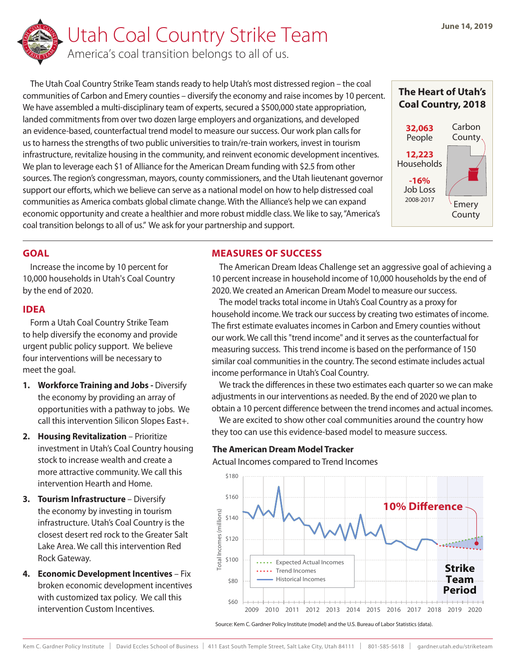

The Utah Coal Country Strike Team stands ready to help Utah's most distressed region – the coal communities of Carbon and Emery counties – diversify the economy and raise incomes by 10 percent. We have assembled a multi-disciplinary team of experts, secured a \$500,000 state appropriation, landed commitments from over two dozen large employers and organizations, and developed an evidence-based, counterfactual trend model to measure our success. Our work plan calls for us to harness the strengths of two public universities to train/re-train workers, invest in tourism infrastructure, revitalize housing in the community, and reinvent economic development incentives. We plan to leverage each \$1 of Alliance for the American Dream funding with \$2.5 from other sources. The region's congressman, mayors, county commissioners, and the Utah lieutenant governor support our efforts, which we believe can serve as a national model on how to help distressed coal communities as America combats global climate change. With the Alliance's help we can expand economic opportunity and create a healthier and more robust middle class. We like to say, "America's coal transition belongs to all of us." We ask for your partnership and support.



## **GOAL**

Increase the income by 10 percent for 10,000 households in Utah's Coal Country by the end of 2020.

## **IDEA**

Form a Utah Coal Country Strike Team to help diversify the economy and provide urgent public policy support. We believe four interventions will be necessary to meet the goal.

- **1. Workforce Training and Jobs** Diversify the economy by providing an array of opportunities with a pathway to jobs. We call this intervention Silicon Slopes East+.
- **2. Housing Revitalization** Prioritize investment in Utah's Coal Country housing stock to increase wealth and create a more attractive community. We call this intervention Hearth and Home.
- **3. Tourism Infrastructure** Diversify the economy by investing in tourism infrastructure. Utah's Coal Country is the closest desert red rock to the Greater Salt Lake Area. We call this intervention Red Rock Gateway.
- **4. Economic Development Incentives** Fix broken economic development incentives with customized tax policy. We call this intervention Custom Incentives.

# **MEASURES OF SUCCESS**

The American Dream Ideas Challenge set an aggressive goal of achieving a 10 percent increase in household income of 10,000 households by the end of 2020. We created an American Dream Model to measure our success.

The model tracks total income in Utah's Coal Country as a proxy for household income. We track our success by creating two estimates of income. The first estimate evaluates incomes in Carbon and Emery counties without our work. We call this "trend income" and it serves as the counterfactual for measuring success. This trend income is based on the performance of 150 similar coal communities in the country. The second estimate includes actual income performance in Utah's Coal Country.

We track the differences in these two estimates each quarter so we can make adjustments in our interventions as needed. By the end of 2020 we plan to obtain a 10 percent difference between the trend incomes and actual incomes.

We are excited to show other coal communities around the country how they too can use this evidence-based model to measure success.

## **The American Dream Model Tracker**

Actual Incomes compared to Trend Incomes



Source: Kem C. Gardner Policy Institute (model) and the U.S. Bureau of Labor Statistics (data).